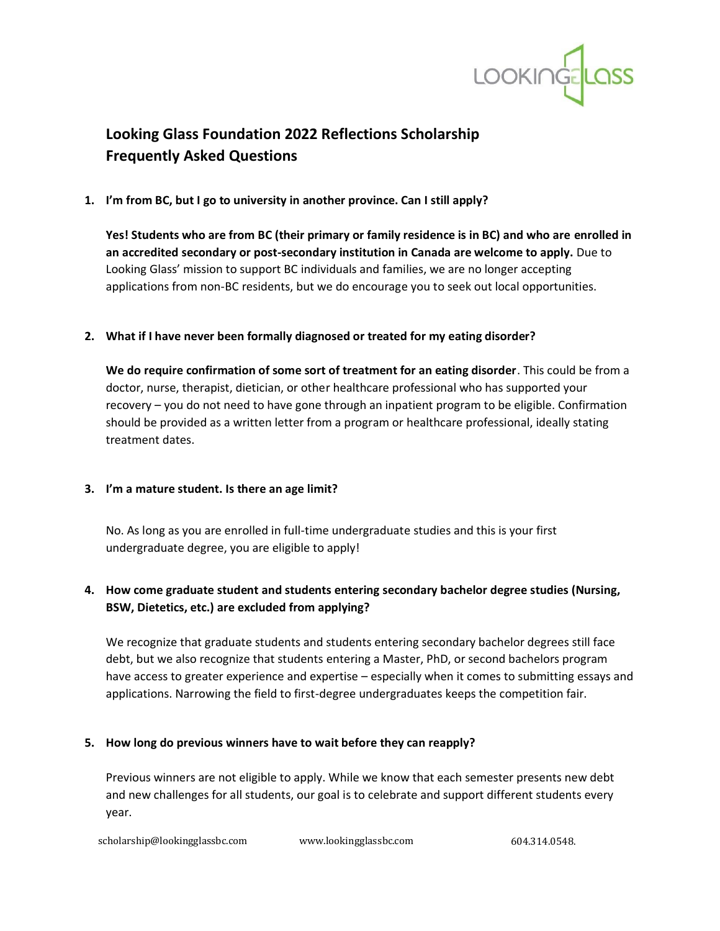

# **Looking Glass Foundation 2022 Reflections Scholarship Frequently Asked Questions**

# **1. I'm from BC, but I go to university in another province. Can I still apply?**

**Yes! Students who are from BC (their primary or family residence is in BC) and who are enrolled in an accredited secondary or post-secondary institution in Canada are welcome to apply.** Due to Looking Glass' mission to support BC individuals and families, we are no longer accepting applications from non-BC residents, but we do encourage you to seek out local opportunities.

# **2. What if I have never been formally diagnosed or treated for my eating disorder?**

**We do require confirmation of some sort of treatment for an eating disorder**. This could be from a doctor, nurse, therapist, dietician, or other healthcare professional who has supported your recovery – you do not need to have gone through an inpatient program to be eligible. Confirmation should be provided as a written letter from a program or healthcare professional, ideally stating treatment dates.

# **3. I'm a mature student. Is there an age limit?**

No. As long as you are enrolled in full-time undergraduate studies and this is your first undergraduate degree, you are eligible to apply!

# **4. How come graduate student and students entering secondary bachelor degree studies (Nursing, BSW, Dietetics, etc.) are excluded from applying?**

We recognize that graduate students and students entering secondary bachelor degrees still face debt, but we also recognize that students entering a Master, PhD, or second bachelors program have access to greater experience and expertise – especially when it comes to submitting essays and applications. Narrowing the field to first-degree undergraduates keeps the competition fair.

# **5. How long do previous winners have to wait before they can reapply?**

Previous winners are not eligible to apply. While we know that each semester presents new debt and new challenges for all students, our goal is to celebrate and support different students every year.